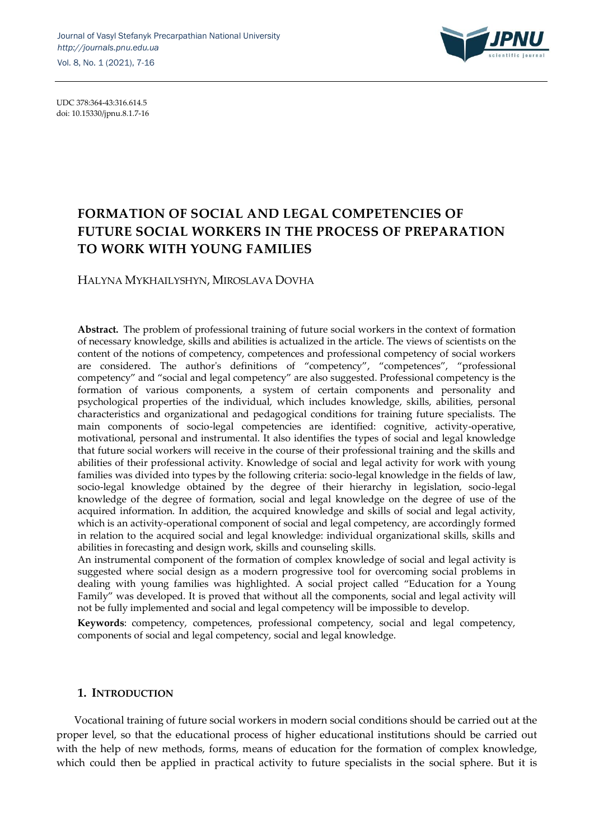

UDC 378:364-43:316.614.5 doi: 10.15330/jpnu.8.1.7-16

# **FORMATION OF SOCIAL AND LEGAL COMPETENCIES OF FUTURE SOCIAL WORKERS IN THE PROCESS OF PREPARATION TO WORK WITH YOUNG FAMILIES**

HALYNA MYKHAILYSHYN, MIROSLAVA DOVHA

**Abstract.** The problem of professional training of future social workers in the context of formation of necessary knowledge, skills and abilities is actualized in the article. The views of scientists on the content of the notions of competency, competences and professional competency of social workers are considered. The author's definitions of "competency", "competences", "professional competency" and "social and legal competency" are also suggested. Professional competency is the formation of various components, a system of certain components and personality and psychological properties of the individual, which includes knowledge, skills, abilities, personal characteristics and organizational and pedagogical conditions for training future specialists. The main components of socio-legal competencies are identified: cognitive, activity-operative, motivational, personal and instrumental. It also identifies the types of social and legal knowledge that future social workers will receive in the course of their professional training and the skills and abilities of their professional activity. Knowledge of social and legal activity for work with young families was divided into types by the following criteria: socio-legal knowledge in the fields of law, socio-legal knowledge obtained by the degree of their hierarchy in legislation, socio-legal knowledge of the degree of formation, social and legal knowledge on the degree of use of the acquired information. In addition, the acquired knowledge and skills of social and legal activity, which is an activity-operational component of social and legal competency, are accordingly formed in relation to the acquired social and legal knowledge: individual organizational skills, skills and abilities in forecasting and design work, skills and counseling skills.

An instrumental component of the formation of complex knowledge of social and legal activity is suggested where social design as a modern progressive tool for overcoming social problems in dealing with young families was highlighted. A social project called "Education for a Young Family" was developed. It is proved that without all the components, social and legal activity will not be fully implemented and social and legal competency will be impossible to develop.

**Keywords**: competency, competences, professional competency, social and legal competency, components of social and legal competency, social and legal knowledge.

# **1. INTRODUCTION**

Vocational training of future social workers in modern social conditions should be carried out at the proper level, so that the educational process of higher educational institutions should be carried out with the help of new methods, forms, means of education for the formation of complex knowledge, which could then be applied in practical activity to future specialists in the social sphere. But it is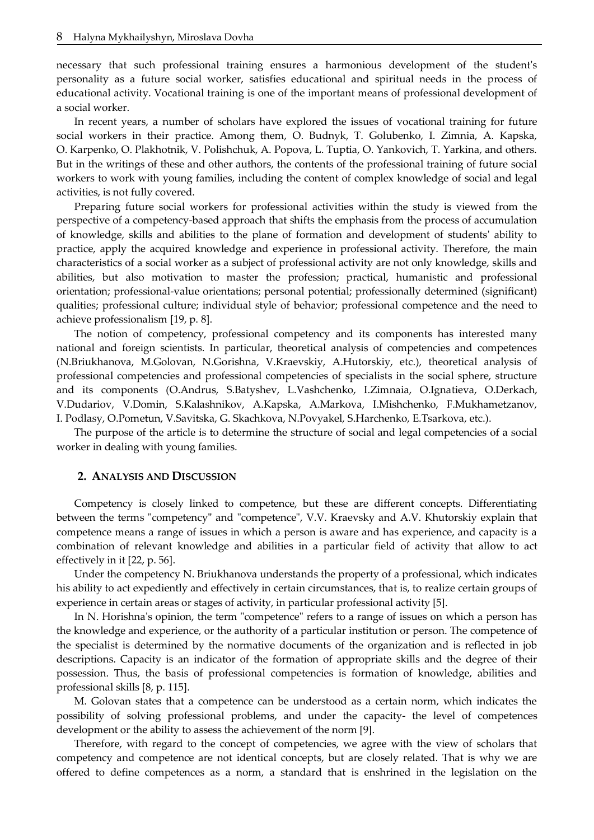necessary that such professional training ensures a harmonious development of the student's personality as a future social worker, satisfies educational and spiritual needs in the process of educational activity. Vocational training is one of the important means of professional development of a social worker.

In recent years, a number of scholars have explored the issues of vocational training for future social workers in their practice. Among them, O. Budnyk, T. Golubenko, I. Zimnia, A. Kapska, O. Karpenko, O. Plakhotnik, V. Polishchuk, A. Popova, L. Tuptia, O. Yankovich, T. Yarkina, and others. But in the writings of these and other authors, the contents of the professional training of future social workers to work with young families, including the content of complex knowledge of social and legal activities, is not fully covered.

Preparing future social workers for professional activities within the study is viewed from the perspective of a competency-based approach that shifts the emphasis from the process of accumulation of knowledge, skills and abilities to the plane of formation and development of students' ability to practice, apply the acquired knowledge and experience in professional activity. Therefore, the main characteristics of a social worker as a subject of professional activity are not only knowledge, skills and abilities, but also motivation to master the profession; practical, humanistic and professional orientation; professional-value orientations; personal potential; professionally determined (significant) qualities; professional culture; individual style of behavior; professional competence and the need to achieve professionalism [19, p. 8].

The notion of competency, professional competency and its components has interested many national and foreign scientists. In particular, theoretical analysis of competencies and competences (N.Briukhanova, M.Golovan, N.Gorishna, V.Kraevskiy, A.Hutorskiy, etc.), theoretical analysis of professional competencies and professional competencies of specialists in the social sphere, structure and its components (O.Andrus, S.Batyshev, L.Vashchenko, I.Zimnaia, O.Ignatieva, O.Derkach, V.Dudariov, V.Domin, S.Kalashnikov, A.Kapska, A.Markova, I.Mishchenko, F.Mukhametzanov, I. Podlasy, O.Pometun, V.Savitska, G. Skachkova, N.Povyakel, S.Harchenko, E.Tsarkova, etc.).

The purpose of the article is to determine the structure of social and legal competencies of a social worker in dealing with young families.

## **2. ANALYSIS AND DISCUSSION**

Competency is closely linked to competence, but these are different concepts. Differentiating between the terms "competency**"** and "competence", V.V. Kraevsky and A.V. Khutorskiy explain that competence means a range of issues in which a person is aware and has experience, and capacity is a combination of relevant knowledge and abilities in a particular field of activity that allow to act effectively in it [22, p. 56].

Under the competency N. Briukhanova understands the property of a professional, which indicates his ability to act expediently and effectively in certain circumstances, that is, to realize certain groups of experience in certain areas or stages of activity, in particular professional activity [5].

In N. Horishna's opinion, the term "competence" refers to a range of issues on which a person has the knowledge and experience, or the authority of a particular institution or person. The competence of the specialist is determined by the normative documents of the organization and is reflected in job descriptions. Capacity is an indicator of the formation of appropriate skills and the degree of their possession. Thus, the basis of professional competencies is formation of knowledge, abilities and professional skills [8, p. 115].

M. Golovan states that a competence can be understood as a certain norm, which indicates the possibility of solving professional problems, and under the capacity- the level of competences development or the ability to assess the achievement of the norm [9].

Therefore, with regard to the concept of competencies, we agree with the view of scholars that competency and competence are not identical concepts, but are closely related. That is why we are offered to define competences as a norm, a standard that is enshrined in the legislation on the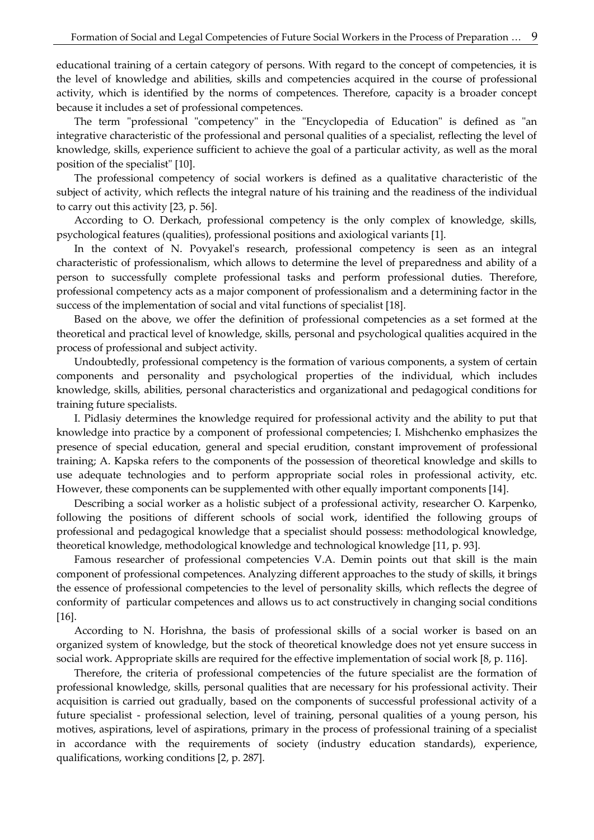educational training of a certain category of persons. With regard to the concept of competencies, it is the level of knowledge and abilities, skills and competencies acquired in the course of professional activity, which is identified by the norms of competences. Therefore, capacity is a broader concept because it includes a set of professional competences.

The term "professional "competency" in the "Encyclopedia of Education" is defined as "an integrative characteristic of the professional and personal qualities of a specialist, reflecting the level of knowledge, skills, experience sufficient to achieve the goal of a particular activity, as well as the moral position of the specialist" [10].

The professional competency of social workers is defined as a qualitative characteristic of the subject of activity, which reflects the integral nature of his training and the readiness of the individual to carry out this activity [23, p. 56].

According to O. Derkach, professional competency is the only complex of knowledge, skills, psychological features (qualities), professional positions and axiological variants [1].

In the context of N. Povyakel's research, professional competency is seen as an integral characteristic of professionalism, which allows to determine the level of preparedness and ability of a person to successfully complete professional tasks and perform professional duties. Therefore, professional competency acts as a major component of professionalism and a determining factor in the success of the implementation of social and vital functions of specialist [18].

Based on the above, we offer the definition of professional competencies as a set formed at the theoretical and practical level of knowledge, skills, personal and psychological qualities acquired in the process of professional and subject activity.

Undoubtedly, professional competency is the formation of various components, a system of certain components and personality and psychological properties of the individual, which includes knowledge, skills, abilities, personal characteristics and organizational and pedagogical conditions for training future specialists.

I. Pidlasiy determines the knowledge required for professional activity and the ability to put that knowledge into practice by a component of professional competencies; I. Mishchenko emphasizes the presence of special education, general and special erudition, constant improvement of professional training; A. Kapska refers to the components of the possession of theoretical knowledge and skills to use adequate technologies and to perform appropriate social roles in professional activity, etc. However, these components can be supplemented with other equally important components [14].

Describing a social worker as a holistic subject of a professional activity, researcher O. Karpenko, following the positions of different schools of social work, identified the following groups of professional and pedagogical knowledge that a specialist should possess: methodological knowledge, theoretical knowledge, methodological knowledge and technological knowledge [11, p. 93].

Famous researcher of professional competencies V.A. Demin points out that skill is the main component of professional competences. Analyzing different approaches to the study of skills, it brings the essence of professional competencies to the level of personality skills, which reflects the degree of conformity of particular competences and allows us to act constructively in changing social conditions [16].

According to N. Horishna, the basis of professional skills of a social worker is based on an organized system of knowledge, but the stock of theoretical knowledge does not yet ensure success in social work. Appropriate skills are required for the effective implementation of social work [8, p. 116].

Therefore, the criteria of professional competencies of the future specialist are the formation of professional knowledge, skills, personal qualities that are necessary for his professional activity. Their acquisition is carried out gradually, based on the components of successful professional activity of a future specialist - professional selection, level of training, personal qualities of a young person, his motives, aspirations, level of aspirations, primary in the process of professional training of a specialist in accordance with the requirements of society (industry education standards), experience, qualifications, working conditions [2, p. 287].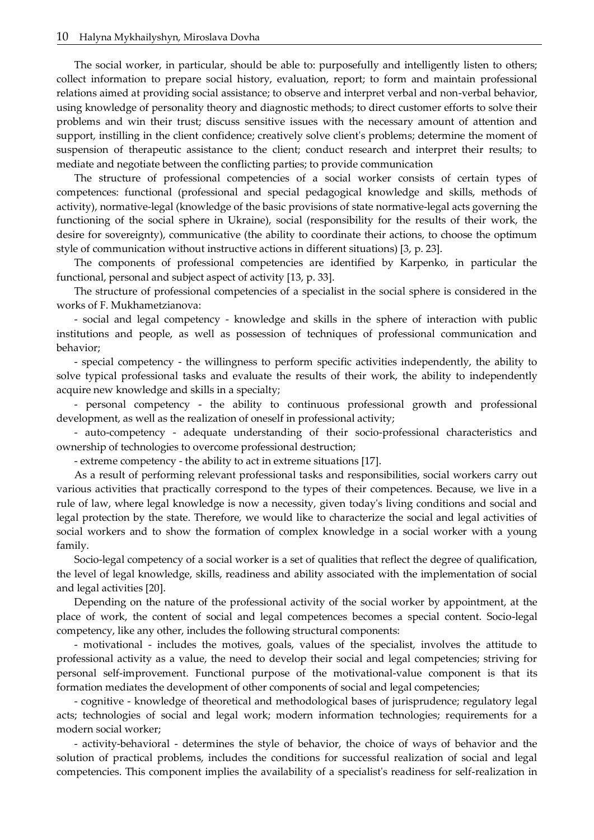The social worker, in particular, should be able to: purposefully and intelligently listen to others; collect information to prepare social history, evaluation, report; to form and maintain professional relations aimed at providing social assistance; to observe and interpret verbal and non-verbal behavior, using knowledge of personality theory and diagnostic methods; to direct customer efforts to solve their problems and win their trust; discuss sensitive issues with the necessary amount of attention and support, instilling in the client confidence; creatively solve client's problems; determine the moment of suspension of therapeutic assistance to the client; conduct research and interpret their results; to mediate and negotiate between the conflicting parties; to provide communication

The structure of professional competencies of a social worker consists of certain types of competences: functional (professional and special pedagogical knowledge and skills, methods of activity), normative-legal (knowledge of the basic provisions of state normative-legal acts governing the functioning of the social sphere in Ukraine), social (responsibility for the results of their work, the desire for sovereignty), communicative (the ability to coordinate their actions, to choose the optimum style of communication without instructive actions in different situations) [3, p. 23].

The components of professional competencies are identified by Karpenko, in particular the functional, personal and subject aspect of activity [13, p. 33].

The structure of professional competencies of a specialist in the social sphere is considered in the works of F. Mukhametzianova:

- social and legal competency - knowledge and skills in the sphere of interaction with public institutions and people, as well as possession of techniques of professional communication and behavior;

- special competency - the willingness to perform specific activities independently, the ability to solve typical professional tasks and evaluate the results of their work, the ability to independently acquire new knowledge and skills in a specialty;

- personal competency - the ability to continuous professional growth and professional development, as well as the realization of oneself in professional activity;

- auto-competency - adequate understanding of their socio-professional characteristics and ownership of technologies to overcome professional destruction;

- extreme competency - the ability to act in extreme situations [17].

As a result of performing relevant professional tasks and responsibilities, social workers carry out various activities that practically correspond to the types of their competences. Because, we live in a rule of law, where legal knowledge is now a necessity, given today's living conditions and social and legal protection by the state. Therefore, we would like to characterize the social and legal activities of social workers and to show the formation of complex knowledge in a social worker with a young family.

Socio-legal competency of a social worker is a set of qualities that reflect the degree of qualification, the level of legal knowledge, skills, readiness and ability associated with the implementation of social and legal activities [20].

Depending on the nature of the professional activity of the social worker by appointment, at the place of work, the content of social and legal competences becomes a special content. Socio-legal competency, like any other, includes the following structural components:

- motivational - includes the motives, goals, values of the specialist, involves the attitude to professional activity as a value, the need to develop their social and legal competencies; striving for personal self-improvement. Functional purpose of the motivational-value component is that its formation mediates the development of other components of social and legal competencies;

- cognitive - knowledge of theoretical and methodological bases of jurisprudence; regulatory legal acts; technologies of social and legal work; modern information technologies; requirements for a modern social worker;

- activity-behavioral - determines the style of behavior, the choice of ways of behavior and the solution of practical problems, includes the conditions for successful realization of social and legal competencies. This component implies the availability of a specialist's readiness for self-realization in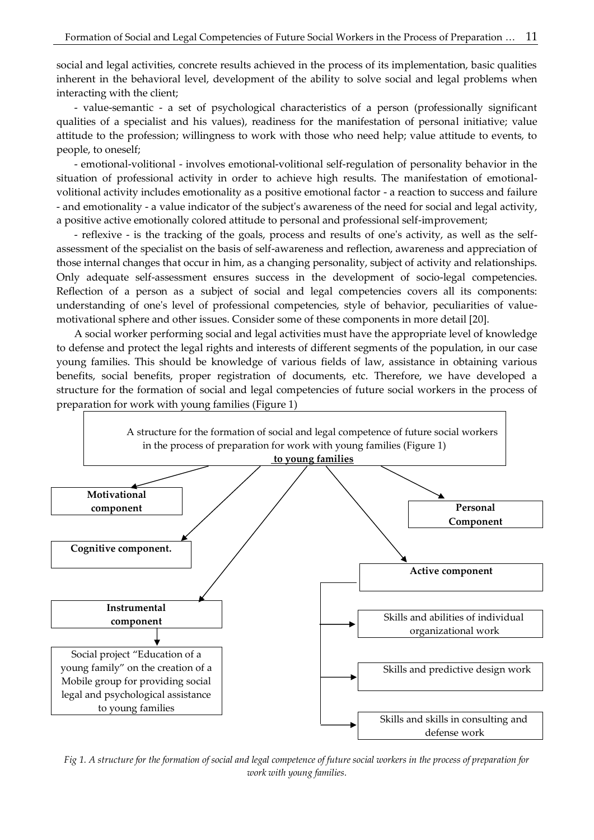social and legal activities, concrete results achieved in the process of its implementation, basic qualities inherent in the behavioral level, development of the ability to solve social and legal problems when interacting with the client;

- value-semantic - a set of psychological characteristics of a person (professionally significant qualities of a specialist and his values), readiness for the manifestation of personal initiative; value attitude to the profession; willingness to work with those who need help; value attitude to events, to people, to oneself;

- emotional-volitional - involves emotional-volitional self-regulation of personality behavior in the situation of professional activity in order to achieve high results. The manifestation of emotionalvolitional activity includes emotionality as a positive emotional factor - a reaction to success and failure - and emotionality - a value indicator of the subject's awareness of the need for social and legal activity, a positive active emotionally colored attitude to personal and professional self-improvement;

- reflexive - is the tracking of the goals, process and results of one's activity, as well as the selfassessment of the specialist on the basis of self-awareness and reflection, awareness and appreciation of those internal changes that occur in him, as a changing personality, subject of activity and relationships. Only adequate self-assessment ensures success in the development of socio-legal competencies. Reflection of a person as a subject of social and legal competencies covers all its components: understanding of one's level of professional competencies, style of behavior, peculiarities of valuemotivational sphere and other issues. Consider some of these components in more detail [20].

A social worker performing social and legal activities must have the appropriate level of knowledge to defense and protect the legal rights and interests of different segments of the population, in our case young families. This should be knowledge of various fields of law, assistance in obtaining various benefits, social benefits, proper registration of documents, etc. Therefore, we have developed a structure for the formation of social and legal competencies of future social workers in the process of preparation for work with young families (Figure 1)



*Fig 1. A structure for the formation of social and legal competence of future social workers in the process of preparation for work with young families.*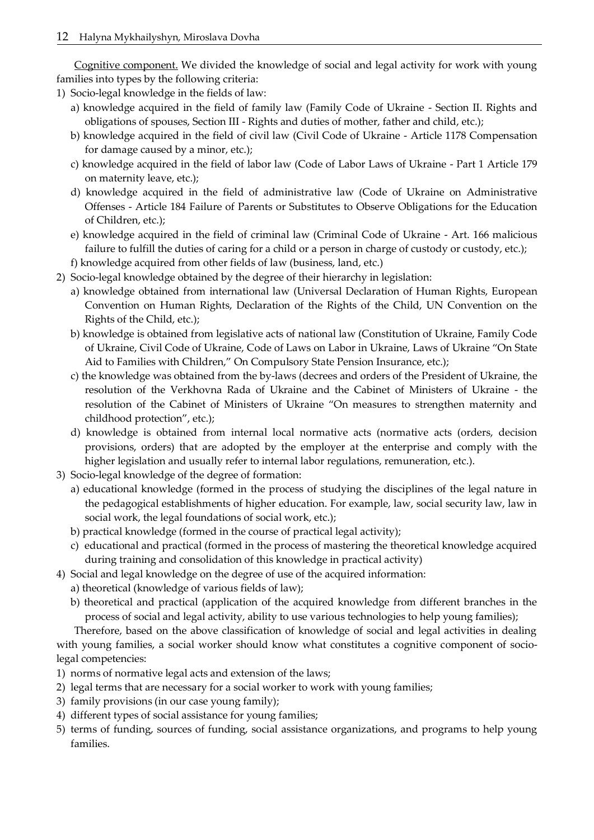Cognitive component. We divided the knowledge of social and legal activity for work with young families into types by the following criteria:

1) Socio-legal knowledge in the fields of law:

- a) knowledge acquired in the field of family law (Family Code of Ukraine Section II. Rights and obligations of spouses, Section III - Rights and duties of mother, father and child, etc.);
- b) knowledge acquired in the field of civil law (Civil Code of Ukraine Article 1178 Compensation for damage caused by a minor, etc.);
- c) knowledge acquired in the field of labor law (Code of Labor Laws of Ukraine Part 1 Article 179 on maternity leave, etc.);
- d) knowledge acquired in the field of administrative law (Code of Ukraine on Administrative Offenses - Article 184 Failure of Parents or Substitutes to Observe Obligations for the Education of Children, etc.);
- e) knowledge acquired in the field of criminal law (Criminal Code of Ukraine Art. 166 malicious failure to fulfill the duties of caring for a child or a person in charge of custody or custody, etc.);
- f) knowledge acquired from other fields of law (business, land, etc.)
- 2) Socio-legal knowledge obtained by the degree of their hierarchy in legislation:
	- a) knowledge obtained from international law (Universal Declaration of Human Rights, European Convention on Human Rights, Declaration of the Rights of the Child, UN Convention on the Rights of the Child, etc.);
	- b) knowledge is obtained from legislative acts of national law (Constitution of Ukraine, Family Code of Ukraine, Civil Code of Ukraine, Code of Laws on Labor in Ukraine, Laws of Ukraine "On State Aid to Families with Children," On Compulsory State Pension Insurance, etc.);
	- c) the knowledge was obtained from the by-laws (decrees and orders of the President of Ukraine, the resolution of the Verkhovna Rada of Ukraine and the Cabinet of Ministers of Ukraine - the resolution of the Cabinet of Ministers of Ukraine "On measures to strengthen maternity and childhood protection", etc.);
	- d) knowledge is obtained from internal local normative acts (normative acts (orders, decision provisions, orders) that are adopted by the employer at the enterprise and comply with the higher legislation and usually refer to internal labor regulations, remuneration, etc.).
- 3) Socio-legal knowledge of the degree of formation:
	- a) educational knowledge (formed in the process of studying the disciplines of the legal nature in the pedagogical establishments of higher education. For example, law, social security law, law in social work, the legal foundations of social work, etc.);
	- b) practical knowledge (formed in the course of practical legal activity);
	- c) educational and practical (formed in the process of mastering the theoretical knowledge acquired during training and consolidation of this knowledge in practical activity)
- 4) Social and legal knowledge on the degree of use of the acquired information:
	- a) theoretical (knowledge of various fields of law);
	- b) theoretical and practical (application of the acquired knowledge from different branches in the process of social and legal activity, ability to use various technologies to help young families);

Therefore, based on the above classification of knowledge of social and legal activities in dealing with young families, a social worker should know what constitutes a cognitive component of sociolegal competencies:

- 1) norms of normative legal acts and extension of the laws;
- 2) legal terms that are necessary for a social worker to work with young families;
- 3) family provisions (in our case young family);
- 4) different types of social assistance for young families;
- 5) terms of funding, sources of funding, social assistance organizations, and programs to help young families.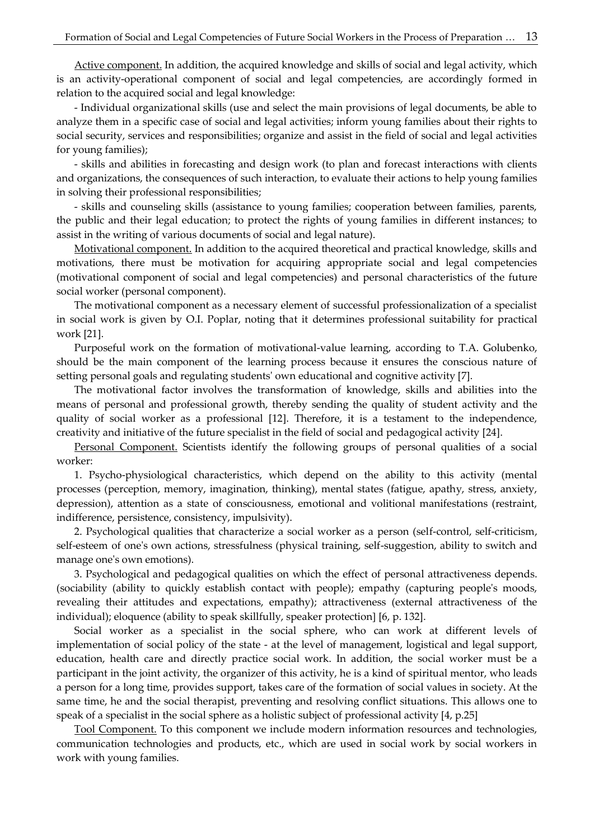Active component. In addition, the acquired knowledge and skills of social and legal activity, which is an activity-operational component of social and legal competencies, are accordingly formed in relation to the acquired social and legal knowledge:

- Individual organizational skills (use and select the main provisions of legal documents, be able to analyze them in a specific case of social and legal activities; inform young families about their rights to social security, services and responsibilities; organize and assist in the field of social and legal activities for young families);

- skills and abilities in forecasting and design work (to plan and forecast interactions with clients and organizations, the consequences of such interaction, to evaluate their actions to help young families in solving their professional responsibilities;

- skills and counseling skills (assistance to young families; cooperation between families, parents, the public and their legal education; to protect the rights of young families in different instances; to assist in the writing of various documents of social and legal nature).

Motivational component. In addition to the acquired theoretical and practical knowledge, skills and motivations, there must be motivation for acquiring appropriate social and legal competencies (motivational component of social and legal competencies) and personal characteristics of the future social worker (personal component).

The motivational component as a necessary element of successful professionalization of a specialist in social work is given by O.I. Poplar, noting that it determines professional suitability for practical work [21].

Purposeful work on the formation of motivational-value learning, according to T.A. Golubenko, should be the main component of the learning process because it ensures the conscious nature of setting personal goals and regulating students' own educational and cognitive activity [7].

The motivational factor involves the transformation of knowledge, skills and abilities into the means of personal and professional growth, thereby sending the quality of student activity and the quality of social worker as a professional [12]. Therefore, it is a testament to the independence, creativity and initiative of the future specialist in the field of social and pedagogical activity [24].

Personal Component. Scientists identify the following groups of personal qualities of a social worker:

1. Psycho-physiological characteristics, which depend on the ability to this activity (mental processes (perception, memory, imagination, thinking), mental states (fatigue, apathy, stress, anxiety, depression), attention as a state of consciousness, emotional and volitional manifestations (restraint, indifference, persistence, consistency, impulsivity).

2. Psychological qualities that characterize a social worker as a person (self-control, self-criticism, self-esteem of one's own actions, stressfulness (physical training, self-suggestion, ability to switch and manage one's own emotions).

3. Psychological and pedagogical qualities on which the effect of personal attractiveness depends. (sociability (ability to quickly establish contact with people); empathy (capturing people's moods, revealing their attitudes and expectations, empathy); attractiveness (external attractiveness of the individual); eloquence (ability to speak skillfully, speaker protection] [6, p. 132].

Social worker as a specialist in the social sphere, who can work at different levels of implementation of social policy of the state - at the level of management, logistical and legal support, education, health care and directly practice social work. In addition, the social worker must be a participant in the joint activity, the organizer of this activity, he is a kind of spiritual mentor, who leads a person for a long time, provides support, takes care of the formation of social values in society. At the same time, he and the social therapist, preventing and resolving conflict situations. This allows one to speak of a specialist in the social sphere as a holistic subject of professional activity [4, p.25]

Tool Component. To this component we include modern information resources and technologies, communication technologies and products, etc., which are used in social work by social workers in work with young families.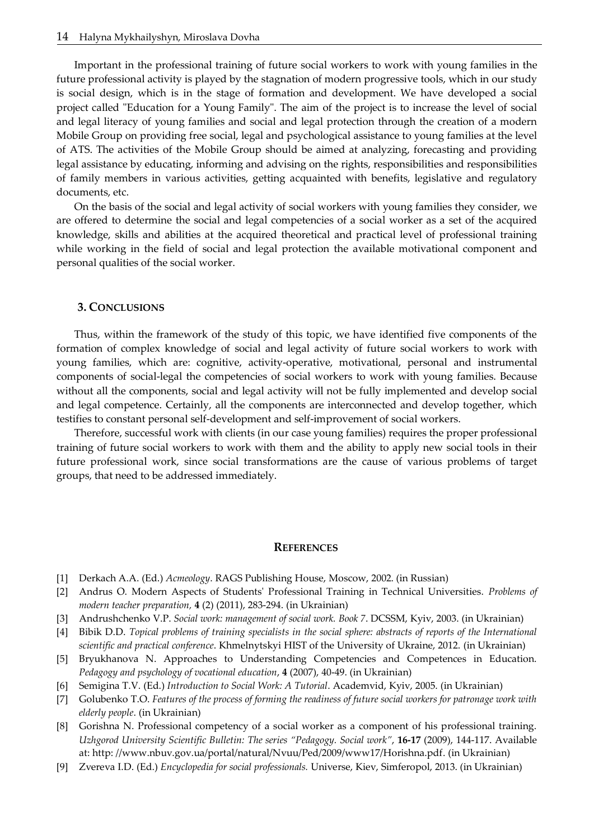Important in the professional training of future social workers to work with young families in the future professional activity is played by the stagnation of modern progressive tools, which in our study is social design, which is in the stage of formation and development. We have developed a social project called "Education for a Young Family". The aim of the project is to increase the level of social and legal literacy of young families and social and legal protection through the creation of a modern Mobile Group on providing free social, legal and psychological assistance to young families at the level of ATS. The activities of the Mobile Group should be aimed at analyzing, forecasting and providing legal assistance by educating, informing and advising on the rights, responsibilities and responsibilities of family members in various activities, getting acquainted with benefits, legislative and regulatory documents, etc.

On the basis of the social and legal activity of social workers with young families they consider, we are offered to determine the social and legal competencies of a social worker as a set of the acquired knowledge, skills and abilities at the acquired theoretical and practical level of professional training while working in the field of social and legal protection the available motivational component and personal qualities of the social worker.

### **3. CONCLUSIONS**

Thus, within the framework of the study of this topic, we have identified five components of the formation of complex knowledge of social and legal activity of future social workers to work with young families, which are: cognitive, activity-operative, motivational, personal and instrumental components of social-legal the competencies of social workers to work with young families. Because without all the components, social and legal activity will not be fully implemented and develop social and legal competence. Certainly, all the components are interconnected and develop together, which testifies to constant personal self-development and self-improvement of social workers.

Therefore, successful work with clients (in our case young families) requires the proper professional training of future social workers to work with them and the ability to apply new social tools in their future professional work, since social transformations are the cause of various problems of target groups, that need to be addressed immediately.

### **REFERENCES**

- [1] Derkach A.A. (Ed.) *Acmeology*. RAGS Publishing House, Мoscow, 2002. (in Russian)
- [2] Andrus O. Modern Aspects of Students' Professional Training in Technical Universities. *Problems of modern teacher preparation,* **4** (2) (2011), 283-294. (in Ukrainian)
- [3] Andrushchenko V.P. *Social work: management of social work. Book 7*. DCSSM, Кyiv, 2003. (in Ukrainian)
- [4] Bibik D.D. *Topical problems of training specialists in the social sphere: abstracts of reports of the International scientific and practical conference*. Khmelnytskyi HIST of the University of Ukraine, 2012. (in Ukrainian)
- [5] Bryukhanova N. Approaches to Understanding Competencies and Competences in Education. *Pedagogy and psychology of vocational education*, **4** (2007), 40-49. (in Ukrainian)
- [6] Semigina T.V. (Ed.) *Introduction to Social Work: A Tutorial*. Academvid, Кyiv, 2005. (in Ukrainian)
- [7] Golubenko T.O. *Features of the process of forming the readiness of future social workers for patronage work with elderly people*. (in Ukrainian)
- [8] Gorishna N. Professional competency of a social worker as a component of his professional training. *Uzhgorod University Scientific Bulletin: The series "Pedagogy. Social work"*, **16-17** (2009), 144-117. Available at: http: //www.nbuv.gov.ua/portal/natural/Nvuu/Ped/2009/www17/Horishna.pdf. (in Ukrainian)
- [9] Zvereva I.D. (Ed.) *Encyclopedia for social professionals.* Universe, Kiev, Simferopol, 2013. (in Ukrainian)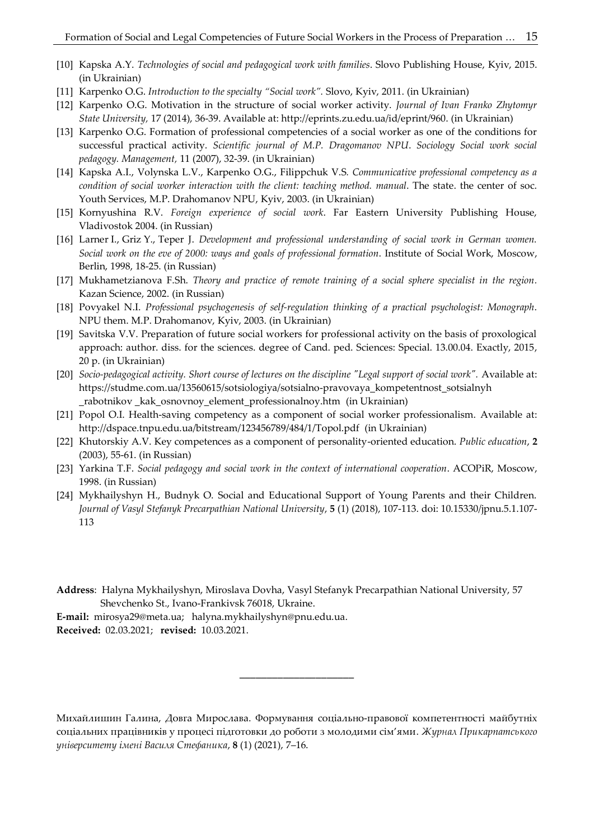- [10] Kapska A.Y. *Technologies of social and pedagogical work with families*. Slovo Publishing House, Kyiv, 2015. (in Ukrainian)
- [11] Karpenko O.G. *Introduction to the specialty "Social work".* Slovo, Кyiv, 2011. (in Ukrainian)
- [12] Karpenko O.G. Motivation in the structure of social worker activity. *Journal of Ivan Franko Zhytomyr State University,* 17 (2014), 36-39. Available at: http://eprints.zu.edu.ua/id/eprint/960. (in Ukrainian)
- [13] Karpenko O.G. Formation of professional competencies of a social worker as one of the conditions for successful practical activity. *Scientific journal of M.P. Dragomanov NPU*. *Sociology Social work social pedagogy. Management,* 11 (2007), 32-39. (in Ukrainian)
- [14] Kapska A.I., Volynska L.V., Karpenko O.G., Filippchuk V.S*. Communicative professional competency as a condition of social worker interaction with the client: teaching method. manual*. The state. the center of soc. Youth Services, M.P. Drahomanov NPU, Kyiv, 2003. (in Ukrainian)
- [15] Kornyushina R.V. *Foreign experience of social work*. Far Eastern University Publishing House, Vladivostok 2004. (in Russian)
- [16] Larner I., Griz Y., Teper J. *Development and professional understanding of social work in German women. Social work on the eve of 2000: ways and goals of professional formation*. Institute of Social Work, Moscow, Berlin, 1998, 18-25. (in Russian)
- [17] Mukhametzianova F.Sh. *Theory and practice of remote training of a social sphere specialist in the region.* Kazan Science, 2002. (in Russian)
- [18] Povyakel N.I. *Professional psychogenesis of self-regulation thinking of a practical psychologist: Monograph*. NPU them. M.P. Drahomanov, Kyiv, 2003. (in Ukrainian)
- [19] Savitska V.V. Preparation of future social workers for professional activity on the basis of proxological approach: author. diss. for the sciences. degree of Cand. ped. Sciences: Special. 13.00.04. Exactly, 2015, 20 p. (in Ukrainian)
- [20] *Socio-pedagogical activity. Short course of lectures on the discipline "Legal support of social work".* Available at: https://studme.com.ua/13560615/sotsiologiya/sotsialno-pravovaya\_kompetentnost\_sotsialnyh \_rabotnikov \_kak\_osnovnoy\_element\_professionalnoy.htm (in Ukrainian)
- [21] Popol O.I. Health-saving competency as a component of social worker professionalism. Available at: http://dspace.tnpu.edu.ua/bitstream/123456789/484/1/Topol.pdf (in Ukrainian)
- [22] Khutorskiy A.V. Key competences as a component of personality-oriented education. *Public education*, **2** (2003), 55-61. (in Russian)
- [23] Yarkina T.F. *Social pedagogy and social work in the context of international cooperation*. ACOPiR, Мoscow, 1998. (in Russian)
- [24] Mykhailyshyn H., Budnyk O. Social and Educational Support of Young Parents and their Children. *Journal of Vasyl Stefanyk Precarpathian National University*, **5** (1) (2018), 107-113. doi: 10.15330/jpnu.5.1.107- 113
- **Address**: Halyna Mykhailyshyn, Miroslava Dovha, Vasyl Stefanyk Precarpathian National University, 57 Shevchenko St., Ivano-Frankivsk 76018, Ukraine.
- **E-mail:** mirosya29@meta.ua; halyna.mykhailyshyn@pnu.edu.ua. **Received:** 02.03.2021; **revised:** 10.03.2021.

Михайлишин Галина, Довга Мирослава. Формування соціально-правової компетентності майбутніх соціальних працівників у процесі підготовки до роботи з молодими сім'ями. *Журнал Прикарпатського університету імені Василя Стефаника*, **8** (1) (2021), 7–16.

\_\_\_\_\_\_\_\_\_\_\_\_\_\_\_\_\_\_\_\_\_